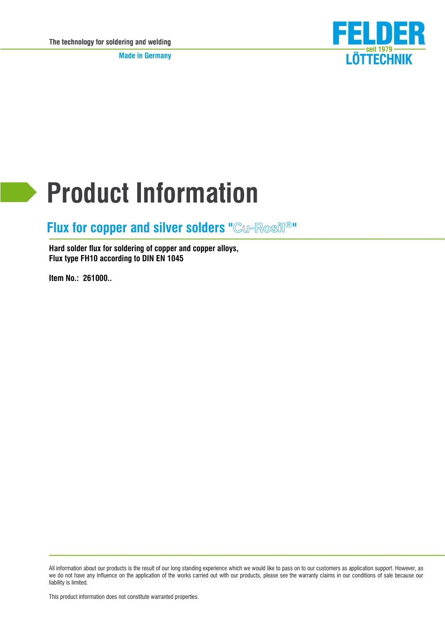**Made in Germany** 



# **Product Information**

#### $Flux$  for copper and silver solders "Cw-Rosil®"

**Hard solder flux for soldering of copper and copper alloys, Flux type FH10 according to DIN EN 1045**

**Item No.: 261000..**

All information about our products is the result of our long standing experience which we would like to pass on to our customers as application support. However, as we do not have any influence on the application of the works carried out with our products, please see the warranty claims in our conditions of sale because our liability is limited.

This product information does not constitute warranted properties.